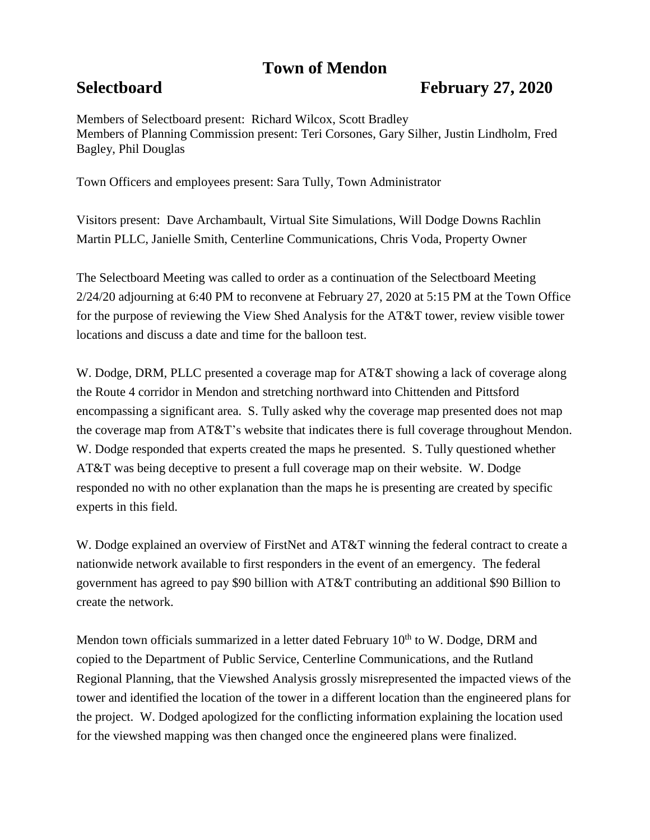## **Town of Mendon**

## **Selectboard February 27, 2020**

Members of Selectboard present: Richard Wilcox, Scott Bradley Members of Planning Commission present: Teri Corsones, Gary Silher, Justin Lindholm, Fred Bagley, Phil Douglas

Town Officers and employees present: Sara Tully, Town Administrator

Visitors present: Dave Archambault, Virtual Site Simulations, Will Dodge Downs Rachlin Martin PLLC, Janielle Smith, Centerline Communications, Chris Voda, Property Owner

The Selectboard Meeting was called to order as a continuation of the Selectboard Meeting 2/24/20 adjourning at 6:40 PM to reconvene at February 27, 2020 at 5:15 PM at the Town Office for the purpose of reviewing the View Shed Analysis for the AT&T tower, review visible tower locations and discuss a date and time for the balloon test.

W. Dodge, DRM, PLLC presented a coverage map for AT&T showing a lack of coverage along the Route 4 corridor in Mendon and stretching northward into Chittenden and Pittsford encompassing a significant area. S. Tully asked why the coverage map presented does not map the coverage map from AT&T's website that indicates there is full coverage throughout Mendon. W. Dodge responded that experts created the maps he presented. S. Tully questioned whether AT&T was being deceptive to present a full coverage map on their website. W. Dodge responded no with no other explanation than the maps he is presenting are created by specific experts in this field.

W. Dodge explained an overview of FirstNet and AT&T winning the federal contract to create a nationwide network available to first responders in the event of an emergency. The federal government has agreed to pay \$90 billion with AT&T contributing an additional \$90 Billion to create the network.

Mendon town officials summarized in a letter dated February  $10<sup>th</sup>$  to W. Dodge, DRM and copied to the Department of Public Service, Centerline Communications, and the Rutland Regional Planning, that the Viewshed Analysis grossly misrepresented the impacted views of the tower and identified the location of the tower in a different location than the engineered plans for the project. W. Dodged apologized for the conflicting information explaining the location used for the viewshed mapping was then changed once the engineered plans were finalized.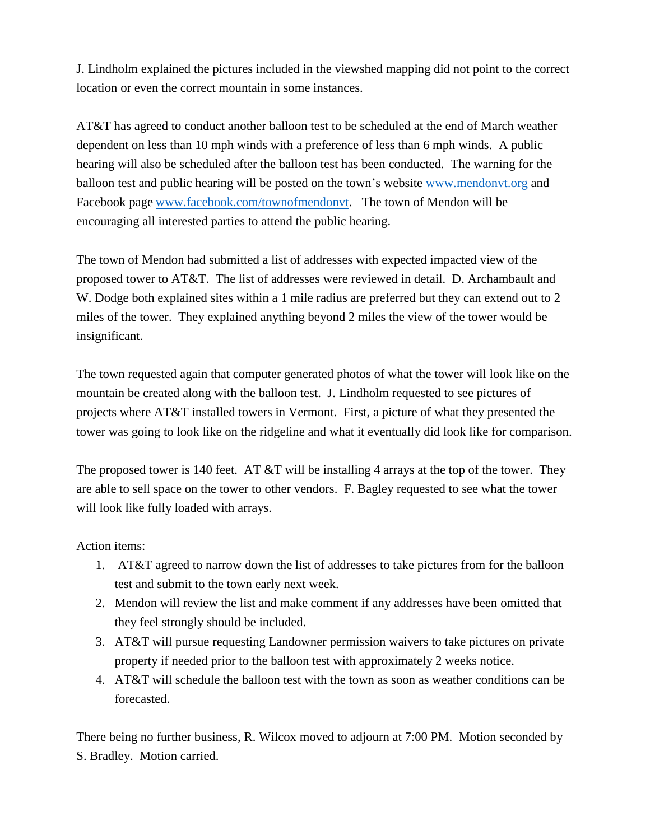J. Lindholm explained the pictures included in the viewshed mapping did not point to the correct location or even the correct mountain in some instances.

AT&T has agreed to conduct another balloon test to be scheduled at the end of March weather dependent on less than 10 mph winds with a preference of less than 6 mph winds. A public hearing will also be scheduled after the balloon test has been conducted. The warning for the balloon test and public hearing will be posted on the town's website [www.mendonvt.org](http://www.mendonvt.org/) and Facebook page [www.facebook.com/townofmendonvt.](http://www.facebook.com/townofmendonvt) The town of Mendon will be encouraging all interested parties to attend the public hearing.

The town of Mendon had submitted a list of addresses with expected impacted view of the proposed tower to AT&T. The list of addresses were reviewed in detail. D. Archambault and W. Dodge both explained sites within a 1 mile radius are preferred but they can extend out to 2 miles of the tower. They explained anything beyond 2 miles the view of the tower would be insignificant.

The town requested again that computer generated photos of what the tower will look like on the mountain be created along with the balloon test. J. Lindholm requested to see pictures of projects where AT&T installed towers in Vermont. First, a picture of what they presented the tower was going to look like on the ridgeline and what it eventually did look like for comparison.

The proposed tower is 140 feet. AT  $&T$  will be installing 4 arrays at the top of the tower. They are able to sell space on the tower to other vendors. F. Bagley requested to see what the tower will look like fully loaded with arrays.

## Action items:

- 1. AT&T agreed to narrow down the list of addresses to take pictures from for the balloon test and submit to the town early next week.
- 2. Mendon will review the list and make comment if any addresses have been omitted that they feel strongly should be included.
- 3. AT&T will pursue requesting Landowner permission waivers to take pictures on private property if needed prior to the balloon test with approximately 2 weeks notice.
- 4. AT&T will schedule the balloon test with the town as soon as weather conditions can be forecasted.

There being no further business, R. Wilcox moved to adjourn at 7:00 PM. Motion seconded by S. Bradley. Motion carried.